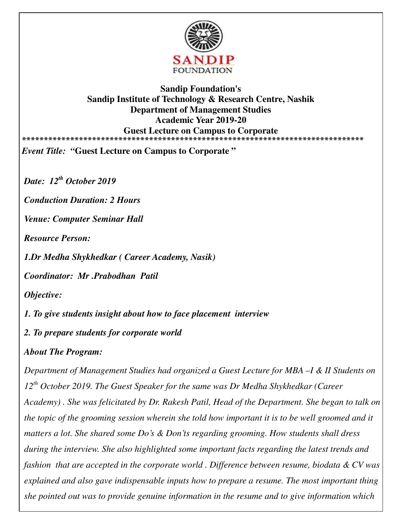

## **Sandip Foundation's Sandip Institute of Technology & Research Centre, Nashik Department of Management Studies Academic Year 2019-20 Guest Lecture on Campus to Corporate \*\*\*\*\*\*\*\*\*\*\*\*\*\*\*\*\*\*\*\*\*\*\*\*\*\*\*\*\*\*\*\*\*\*\*\*\*\*\*\*\*\*\*\*\*\*\*\*\*\*\*\*\*\*\*\*\*\*\*\*\*\*\*\*\*\*\*\*\*\*\*\*\*\*\*\*\*\***

*Event Title: "***Guest Lecture on Campus to Corporate "**

*Date: 12th October 2019* 

*Conduction Duration: 2 Hours* 

*Venue: Computer Seminar Hall* 

*Resource Person:* 

*1.Dr Medha Shykhedkar ( Career Academy, Nasik)* 

*Coordinator: Mr .Prabodhan Patil* 

*Objective:* 

*1. To give students insight about how to face placement interview* 

*2. To prepare students for corporate world* 

## *About The Program:*

*Department of Management Studies had organized a Guest Lecture for MBA –I & II Students on 12th October 2019. The Guest Speaker for the same was Dr Medha Shykhedkar (Career Academy) . She was felicitated by Dr. Rakesh Patil, Head of the Department. She began to talk on the topic of the grooming session wherein she told how important it is to be well groomed and it matters a lot. She shared some Do's & Don'ts regarding grooming. How students shall dress during the interview. She also highlighted some important facts regarding the latest trends and fashion that are accepted in the corporate world . Difference between resume, biodata & CV was explained and also gave indispensable inputs how to prepare a resume. The most important thing she pointed out was to provide genuine information in the resume and to give information which*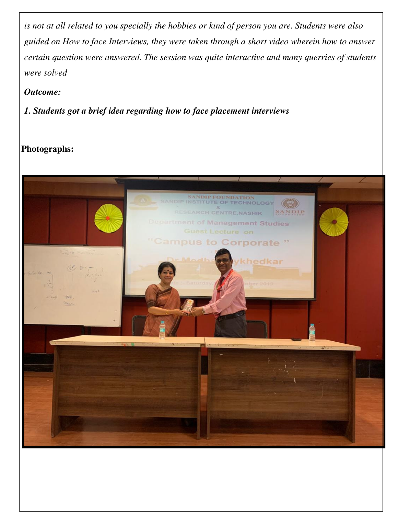*is not at all related to you specially the hobbies or kind of person you are. Students were also guided on How to face Interviews, they were taken through a short video wherein how to answer certain question were answered. The session was quite interactive and many querries of students were solved* 

## *Outcome:*

*1. Students got a brief idea regarding how to face placement interviews* 

## **Photographs:**

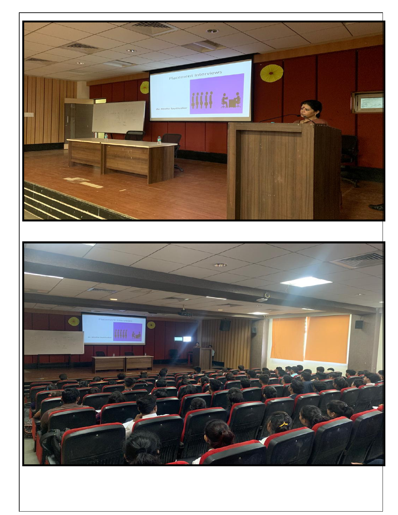